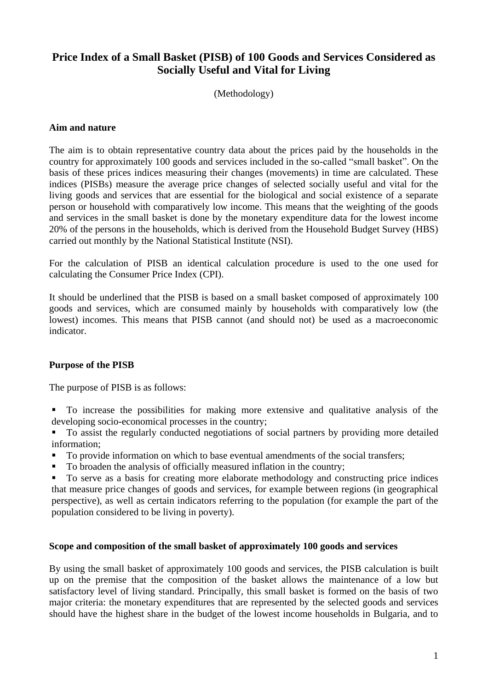# **Price Index of a Small Basket (PISB) of 100 Goods and Services Considered as Socially Useful and Vital for Living**

(Methodology)

#### **Aim and nature**

The aim is to obtain representative country data about the prices paid by the households in the country for approximately 100 goods and services included in the so-called "small basket". On the basis of these prices indices measuring their changes (movements) in time are calculated. These indices (PISBs) measure the average price changes of selected socially useful and vital for the living goods and services that are essential for the biological and social existence of a separate person or household with comparatively low income. This means that the weighting of the goods and services in the small basket is done by the monetary expenditure data for the lowest income 20% of the persons in the households, which is derived from the Household Budget Survey (HBS) carried out monthly by the National Statistical Institute (NSI).

For the calculation of PISB an identical calculation procedure is used to the one used for calculating the Consumer Price Index (CPI).

It should be underlined that the PISB is based on a small basket composed of approximately 100 goods and services, which are consumed mainly by households with comparatively low (the lowest) incomes. This means that PISB cannot (and should not) be used as a macroeconomic indicator.

## **Purpose of the PISB**

The purpose of PISB is as follows:

- To increase the possibilities for making more extensive and qualitative analysis of the developing socio-economical processes in the country;
- To assist the regularly conducted negotiations of social partners by providing more detailed information;
- To provide information on which to base eventual amendments of the social transfers;
- To broaden the analysis of officially measured inflation in the country;

 To serve as a basis for creating more elaborate methodology and constructing price indices that measure price changes of goods and services, for example between regions (in geographical perspective), as well as certain indicators referring to the population (for example the part of the population considered to be living in poverty).

#### **Scope and composition of the small basket of approximately 100 goods and services**

By using the small basket of approximately 100 goods and services, the PISB calculation is built up on the premise that the composition of the basket allows the maintenance of a low but satisfactory level of living standard. Principally, this small basket is formed on the basis of two major criteria: the monetary expenditures that are represented by the selected goods and services should have the highest share in the budget of the lowest income households in Bulgaria, and to